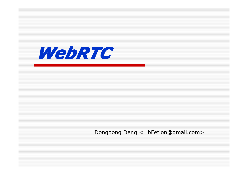

Dongdong Deng <LibFetion@gmail.com>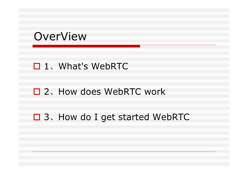### OverView

#### □ 1、What's WebRTC

#### □ 2、How does WebRTC work

#### □ 3、How do I get started WebRTC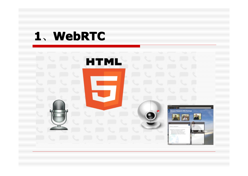## **1**、**WebRTC**

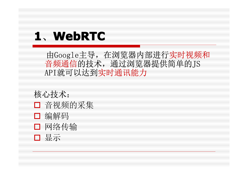## **1**、**WebRTC**

 由Google主导,在浏览器内部进行实时视频和 音频通信的技术,通过浏览器提供简单的JS API就可以达到实时通讯能力

核心技术:

- □ 音视频的采集
- □ 编解码
- □ 网络传输
- 显示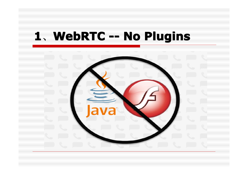## 、**WebRTC -- No Plugins WebRTC -- No Plugins WebRTC -- No Plugins WebRTC -- No Plugins**

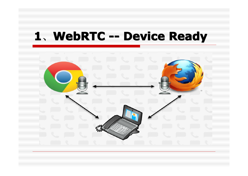## 、**WebRTC -- Device Ready WebRTC -- Device Ready WebRTC -- Device Ready WebRTC -- Device Ready**

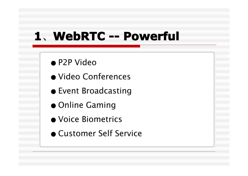## **1**、**WebRTC -- Powerful WebRTC -- Powerful WebRTC -- Powerful WebRTC -- Powerful**

- P2P Video
- Video Conferences
- Event Broadcasting
- Online Gaming
- Voice Biometrics
- Customer Self Service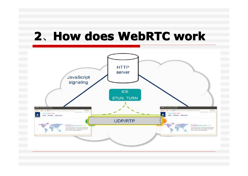## 、**How does WebRTC work How does WebRTC work How does WebRTC work How does WebRTC work**

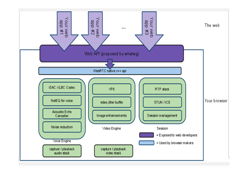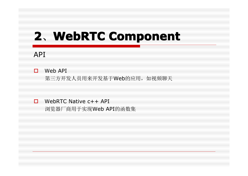# 2. WebRTC Component

#### API

#### $\Box$  Web API

第三方开发人员用来开发基于Web的应用,如视频聊天

 $\Box$  WebRTC Native c++ API

浏览器厂商用于实现Web API的函数集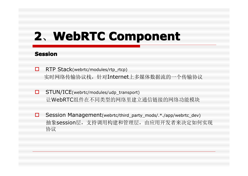#### **Session Session**

- □ RTP Stack(webrtc/modules/rtp\_rtcp) 实时网络传输协议栈,针对Internet上多媒体数据流的一个传输协议
- □ STUN/ICE(webrtc/modules/udp\_transport) 让WebRTC组件在不同类型的网络里建立通信链接的网络功能模块
- □ Session Management(webrtc/third\_party\_mods/.\*./app/webrtc\_dev) 抽象session层,支持调用构建和管理层,由应用开发者来决定如何实现 协议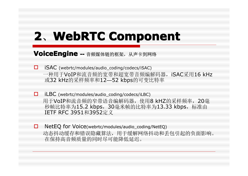VoiceEngine -- 音频媒体链的框架, 从声卡到网络

- $\Box$  iSAC (webrtc/modules/audio\_coding/codecs/iSAC) 一种用于VoIP和流音频的宽带和超宽带音频编解码器, iSAC采用16 kHz 或32 kHz的采样频率和12—52 kbps的可变比特率
- $\Box$  iLBC (webrtc/modules/audio\_coding/codecs/iLBC) 用于VoIP和流音频的窄带语音编解码器,使用8 kHZ的采样频率, 20毫 秒帧比特率为15.2 kbps, 30毫米帧的比特率为13.33 kbps, 标准由 IETF RFC 3951和3952定义
- □ NetEQ for Voice(webrtc/modules/audio\_coding/NetEQ) 动态抖动缓存和错误隐藏算法,用于缓解网络抖动和丢包引起的负面影响。 在保持高音频质量的同时尽可能降低延迟。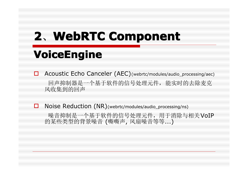## **VoiceEngine VoiceEngine VoiceEngine**

□ Acoustic Echo Canceler (AEC)(webrtc/modules/audio\_processing/aec) 回声抑制器是一个基于软件的信号处理元件,能实时的去除麦克 风收集到的回声

□ Noise Reduction (NR)(webrtc/modules/audio\_processing/ns)

噪音抑制是一个基于软件的信号处理元件,用于消除与相关VoIP 的某些类型的背景噪音 (嘶嘶声, 风扇噪音等等...)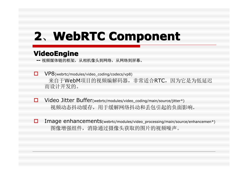#### **VideoEngine VideoEngine**

- **--** 视频媒体链的框架,从相机像头到网络,从网络到屏幕。
- � VP8(webrtc/modules/video\_coding/codecs/vp8) 来自于WebM项目的视频编解码器,非常适合RTC,因为它是为低延迟 而设计开发的。
- � Video Jitter Buffer(webrtc/modules/video\_coding/main/source/jitter\*)视频动态抖动缓存,用于缓解网络抖动和丢包引起的负面影响.
- □ Image enhancements(webrtc/modules/video\_processing/main/source/enhancemen\*) 图像增强组件,消除通过摄像头获取的图片的视频噪声。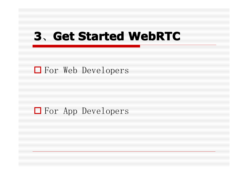## **3**、**Get Started WebRTC Get Started WebRTC Get Started WebRTC Get Started WebRTC**

**□** For Web Developers

#### $\Box$  For App Developers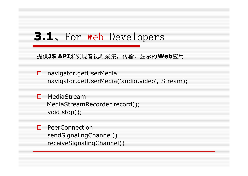### **3.1**、For Web Developers

提供**JS API**来实现音视频采集,传输,显示的**Web**应用

- □ navigator.getUserMedia navigator.getUserMedia('audio,video', Stream);
- □ MediaStream MediaStreamRecorder record(); void stop();
- **D** PeerConnection sendSignalingChannel() receiveSignalingChannel()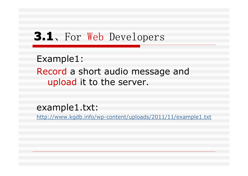### **3.1**、For Web Developers

Example1:

Record a short audio message and upload it to the server.

example1.txt:

http://www.kgdb.info/wp-content/uploads/2011/11/example1.txt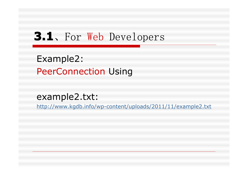### **3.1**、For Web Developers

Example2: PeerConnection Using

#### example2.txt:

http://www.kgdb.info/wp-content/uploads/2011/11/example2.txt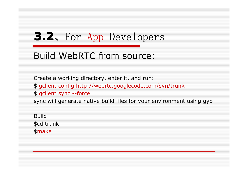### **3.2**、For App Developers

#### Build WebRTC from source:

Create a working directory, enter it, and run:

- \$ gclient config http://webrtc.googlecode.com/svn/trunk
- \$ gclient sync --force

sync will generate native build files for your environment using gyp

Build \$cd trunk \$make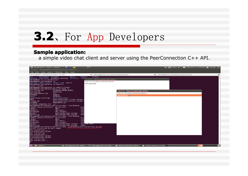### **3.2**、For App Developers

#### **Sample application:**

a simple video chat client and server using the PeerConnection C++ API.

|                                                           | Applications Places System<br>$\bullet$                               | F                                  |                                             | 1 Ⅲ China 4- 图 Mon Oct 3, 10:48 AM 2 ddeng (U) |          |
|-----------------------------------------------------------|-----------------------------------------------------------------------|------------------------------------|---------------------------------------------|------------------------------------------------|----------|
|                                                           | © © ddeng@ddd: /workplace/webrtc/trunk                                |                                    |                                             |                                                |          |
|                                                           | File Edit View Search Terminal Tabs Help                              |                                    |                                             |                                                |          |
| ddeng@ddd:/workplace/webrtc/trunk                         |                                                                       |                                    | <b>※</b> ddeng@ddd: /workplace/webrtc/trunk | % ddeng@ddd:/workplace/webrtc/trunk            | $\infty$ |
| bin<br>Documents eclipse                                  | Music                                                                 | <b>Videos</b><br>Public            |                                             |                                                |          |
|                                                           | Desktop Downloads examples.desktop Pictures Temm                      | <b>OOO</b> PeerConnection client   |                                             |                                                |          |
| ddeng@ddd:~\$ cd /workplace/<br>ddeng@ddd:/workplace\$ ls |                                                                       |                                    |                                             |                                                |          |
|                                                           | android depot tools linux old webrtc                                  | List of currently connected peers: |                                             |                                                |          |
| ddeng@ddd:/workplace\$ cd webrtc/                         |                                                                       | ddeng@ddd                          |                                             |                                                |          |
| .svn/ trunk/<br>ddeng@ddd:/workplace\$ cd webrtc/trunk/   |                                                                       |                                    |                                             |                                                |          |
| ddeng@ddd:/workplace/webrtc/trunk\$ ls                    |                                                                       |                                    |                                             |                                                |          |
| All.target.mk                                             | <b>LICENSE THIRD PARTY</b>                                            |                                    | <b>B @</b> PeerConnection client            |                                                |          |
| Android.mk<br>android-webrtc.mk                           | Makefile<br>out                                                       |                                    | List of currently connected peers:          |                                                |          |
| <b>AUTHORS</b>                                            | <b>OWNERS</b>                                                         |                                    | ddeng@ddd                                   |                                                |          |
| build                                                     | <b>PATENTS</b>                                                        |                                    |                                             |                                                |          |
| codereview.settings<br><b>DEPS</b>                        | peerconnection<br>peerconnection client.target.                       |                                    |                                             |                                                |          |
| libvpx.mk                                                 | peerconnection server.target.                                         |                                    |                                             |                                                |          |
| <b>LICENSE</b>                                            | PRESUBMIT.py                                                          |                                    |                                             |                                                |          |
| license template.txt src                                  | /ddeng@ddd:/workplace/webrtc/trunk\$ ./out/Debug/                     |                                    |                                             |                                                |          |
| common audio unittests genversion                         |                                                                       | pro                                |                                             |                                                |          |
| .deps/                                                    | obj/                                                                  | re <sub>2</sub>                    |                                             |                                                |          |
| genmacro<br>qenmodule                                     | obj.host/<br>obj.target/                                              | vie<br>voe                         |                                             |                                                |          |
| genperf                                                   | peerconnection client                                                 | voe                                |                                             |                                                |          |
| genstring                                                 | peerconnection server                                                 | yası                               |                                             |                                                |          |
| common audio unittests genversion                         | ddeng@ddd:/workplace/webrtc/trunk\$ ./out/Debug/                      | pro                                |                                             |                                                |          |
| .deps/                                                    | obj/                                                                  | re2                                |                                             |                                                |          |
| genmacro                                                  | obj.host/                                                             | vie                                |                                             |                                                |          |
| genmodule<br>genperf                                      | obj.target/<br>peerconnection client                                  | voe<br>voe cmd test                |                                             |                                                |          |
| genstring                                                 | peerconnection server                                                 | yasm                               |                                             |                                                |          |
|                                                           | ddeng@ddd:/workplace/webrtc/trunk\$ ./out/Debug/peerconnection server |                                    |                                             |                                                |          |
| Server listening on port 8888<br>New connection           |                                                                       |                                    |                                             |                                                |          |
| Disconnecting socket                                      |                                                                       |                                    |                                             |                                                |          |
| New connection                                            |                                                                       |                                    |                                             |                                                |          |
| New connection<br>Disconnecting socket                    |                                                                       |                                    |                                             |                                                |          |
| Disconnecting socket                                      |                                                                       |                                    |                                             |                                                |          |
|                                                           |                                                                       |                                    |                                             |                                                |          |
|                                                           |                                                                       |                                    |                                             |                                                |          |
| New connection<br>New connection                          |                                                                       |                                    |                                             |                                                |          |
|                                                           |                                                                       |                                    |                                             |                                                |          |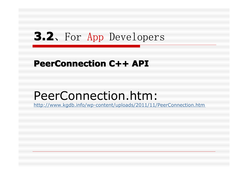### **3.2**、For App Developers

#### **PeerConnection C++ API**

## PeerConnection.htm:

http://www.kgdb.info/wp-content/uploads/2011/11/PeerConnection.htm